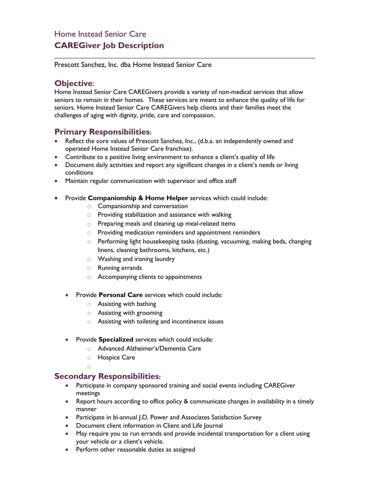# Home Instead Senior Care **CAREGiver Job Description**

Prescott Sanchez, Inc. dba Home Instead Senior Care

## **Objective**:

Home Instead Senior Care CAREGivers provide a variety of non-medical services that allow seniors to remain in their homes. These services are meant to enhance the quality of life for seniors. Home Instead Senior Care CAREGivers help clients and their families meet the challenges of aging with dignity, pride, care and compassion.

### **Primary Responsibilities:**

- Reflect the core values of Prescott Sanchez, Inc., (d.b.a. an independently owned and operated Home Instead Senior Care franchise).
- Contribute to a positive living environment to enhance a client's quality of life
- Document daily activities and report any significant changes in a client's needs or living conditions
- Maintain regular communication with supervisor and office staff
- Provide **Companionship & Home Helper** services which could include:
	- o Companionship and conversation
	- $\circ$  Providing stabilization and assistance with walking
	- o Preparing meals and cleaning up meal-related items
	- o Providing medication reminders and appointment reminders
	- o Performing light housekeeping tasks (dusting, vacuuming, making beds, changing linens, cleaning bathrooms, kitchens, etc.)
	- o Washing and ironing laundry
	- o Running errands
	- o Accompanying clients to appointments
	- Provide **Personal Care** services which could include:
		- $\circ$  Assisting with bathing
		- o Assisting with grooming
		- o Assisting with toileting and incontinence issues
	- Provide **Specialized** services which could include:
		- o Advanced Alzheimer's/Dementia Care
		- o Hospice Care
		- o

### **Secondary Responsibilities:**

- Participate in company sponsored training and social events including CAREGiver meetings
- Report hours according to office policy & communicate changes in availability in a timely manner
- Participate in bi-annual J.D. Power and Associates Satisfaction Survey
- Document client information in Client and Life Journal
- May require you to run errands and provide incidental transportation for a client using your vehicle or a client's vehicle.
- Perform other reasonable duties as assigned